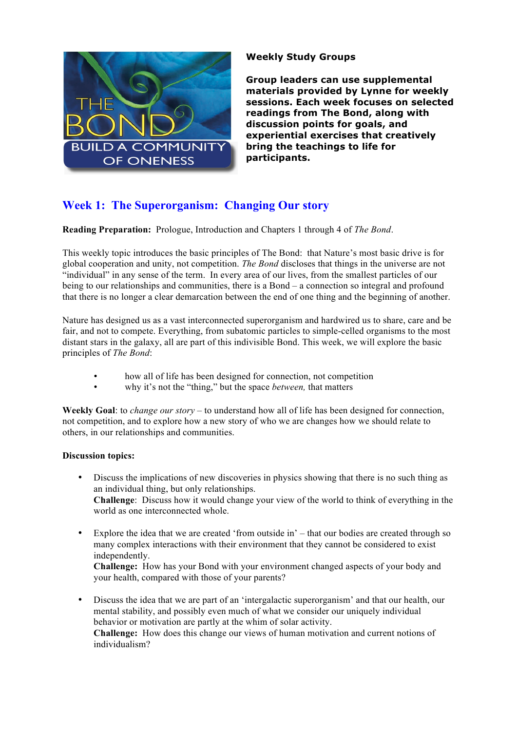

## **Weekly Study Groups**

**Group leaders can use supplemental materials provided by Lynne for weekly sessions. Each week focuses on selected readings from The Bond, along with discussion points for goals, and experiential exercises that creatively bring the teachings to life for participants.**

# **Week 1: The Superorganism: Changing Our story**

**Reading Preparation:** Prologue, Introduction and Chapters 1 through 4 of *The Bond*.

This weekly topic introduces the basic principles of The Bond: that Nature's most basic drive is for global cooperation and unity, not competition. *The Bond* discloses that things in the universe are not "individual" in any sense of the term. In every area of our lives, from the smallest particles of our being to our relationships and communities, there is a Bond – a connection so integral and profound that there is no longer a clear demarcation between the end of one thing and the beginning of another.

Nature has designed us as a vast interconnected superorganism and hardwired us to share, care and be fair, and not to compete. Everything, from subatomic particles to simple-celled organisms to the most distant stars in the galaxy, all are part of this indivisible Bond. This week, we will explore the basic principles of *The Bond*:

- how all of life has been designed for connection, not competition
- why it's not the "thing," but the space *between,* that matters

**Weekly Goal**: to *change our story* – to understand how all of life has been designed for connection, not competition, and to explore how a new story of who we are changes how we should relate to others, in our relationships and communities.

#### **Discussion topics:**

- Discuss the implications of new discoveries in physics showing that there is no such thing as an individual thing, but only relationships. **Challenge**: Discuss how it would change your view of the world to think of everything in the
	- world as one interconnected whole.
- Explore the idea that we are created 'from outside in' that our bodies are created through so many complex interactions with their environment that they cannot be considered to exist independently.

**Challenge:** How has your Bond with your environment changed aspects of your body and your health, compared with those of your parents?

• Discuss the idea that we are part of an 'intergalactic superorganism' and that our health, our mental stability, and possibly even much of what we consider our uniquely individual behavior or motivation are partly at the whim of solar activity. **Challenge:** How does this change our views of human motivation and current notions of individualism?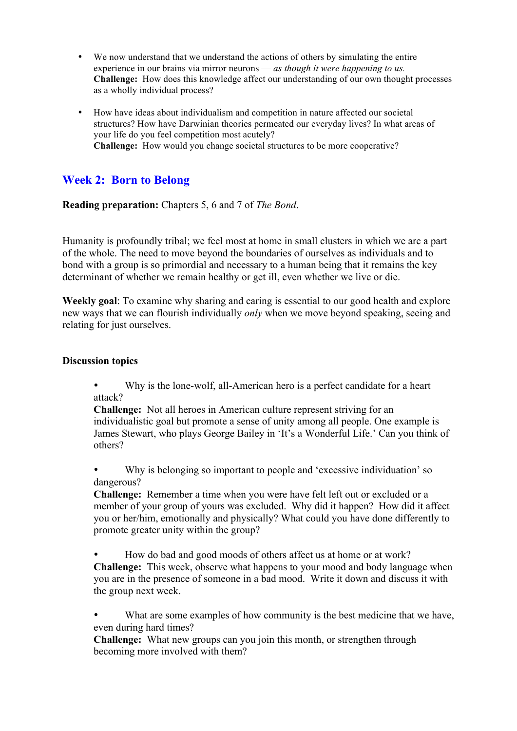- We now understand that we understand the actions of others by simulating the entire experience in our brains via mirror neurons — *as though it were happening to us.*  **Challenge:** How does this knowledge affect our understanding of our own thought processes as a wholly individual process?
- How have ideas about individualism and competition in nature affected our societal structures? How have Darwinian theories permeated our everyday lives? In what areas of your life do you feel competition most acutely? **Challenge:** How would you change societal structures to be more cooperative?

## **Week 2: Born to Belong**

**Reading preparation:** Chapters 5, 6 and 7 of *The Bond*.

Humanity is profoundly tribal; we feel most at home in small clusters in which we are a part of the whole. The need to move beyond the boundaries of ourselves as individuals and to bond with a group is so primordial and necessary to a human being that it remains the key determinant of whether we remain healthy or get ill, even whether we live or die.

**Weekly goal**: To examine why sharing and caring is essential to our good health and explore new ways that we can flourish individually *only* when we move beyond speaking, seeing and relating for just ourselves.

#### **Discussion topics**

Why is the lone-wolf, all-American hero is a perfect candidate for a heart attack?

**Challenge:** Not all heroes in American culture represent striving for an individualistic goal but promote a sense of unity among all people. One example is James Stewart, who plays George Bailey in 'It's a Wonderful Life.' Can you think of others?

• Why is belonging so important to people and 'excessive individuation' so dangerous?

**Challenge:** Remember a time when you were have felt left out or excluded or a member of your group of yours was excluded. Why did it happen? How did it affect you or her/him, emotionally and physically? What could you have done differently to promote greater unity within the group?

• How do bad and good moods of others affect us at home or at work? **Challenge:** This week, observe what happens to your mood and body language when you are in the presence of someone in a bad mood. Write it down and discuss it with the group next week.

What are some examples of how community is the best medicine that we have, even during hard times?

**Challenge:** What new groups can you join this month, or strengthen through becoming more involved with them?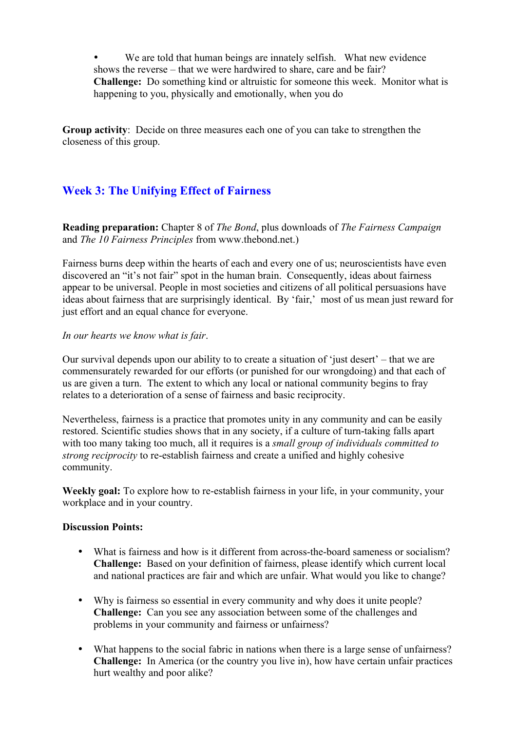We are told that human beings are innately selfish. What new evidence shows the reverse – that we were hardwired to share, care and be fair? **Challenge:** Do something kind or altruistic for someone this week. Monitor what is happening to you, physically and emotionally, when you do

**Group activity**: Decide on three measures each one of you can take to strengthen the closeness of this group.

## **Week 3: The Unifying Effect of Fairness**

**Reading preparation:** Chapter 8 of *The Bond*, plus downloads of *The Fairness Campaign* and *The 10 Fairness Principles* from www.thebond.net.)

Fairness burns deep within the hearts of each and every one of us; neuroscientists have even discovered an "it's not fair" spot in the human brain. Consequently, ideas about fairness appear to be universal. People in most societies and citizens of all political persuasions have ideas about fairness that are surprisingly identical. By 'fair,' most of us mean just reward for just effort and an equal chance for everyone.

### *In our hearts we know what is fair*.

Our survival depends upon our ability to to create a situation of 'just desert' – that we are commensurately rewarded for our efforts (or punished for our wrongdoing) and that each of us are given a turn. The extent to which any local or national community begins to fray relates to a deterioration of a sense of fairness and basic reciprocity.

Nevertheless, fairness is a practice that promotes unity in any community and can be easily restored. Scientific studies shows that in any society, if a culture of turn-taking falls apart with too many taking too much, all it requires is a *small group of individuals committed to strong reciprocity* to re-establish fairness and create a unified and highly cohesive community.

**Weekly goal:** To explore how to re-establish fairness in your life, in your community, your workplace and in your country.

#### **Discussion Points:**

- What is fairness and how is it different from across-the-board sameness or socialism? **Challenge:** Based on your definition of fairness, please identify which current local and national practices are fair and which are unfair. What would you like to change?
- Why is fairness so essential in every community and why does it unite people? **Challenge:** Can you see any association between some of the challenges and problems in your community and fairness or unfairness?
- What happens to the social fabric in nations when there is a large sense of unfairness? **Challenge:** In America (or the country you live in), how have certain unfair practices hurt wealthy and poor alike?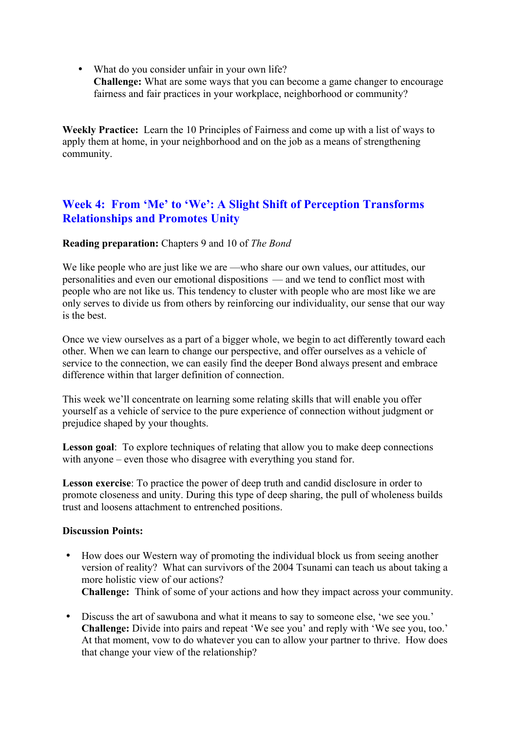• What do you consider unfair in your own life? **Challenge:** What are some ways that you can become a game changer to encourage fairness and fair practices in your workplace, neighborhood or community?

**Weekly Practice:** Learn the 10 Principles of Fairness and come up with a list of ways to apply them at home, in your neighborhood and on the job as a means of strengthening community.

## **Week 4: From 'Me' to 'We': A Slight Shift of Perception Transforms Relationships and Promotes Unity**

### **Reading preparation:** Chapters 9 and 10 of *The Bond*

We like people who are just like we are —who share our own values, our attitudes, our personalities and even our emotional dispositions — and we tend to conflict most with people who are not like us. This tendency to cluster with people who are most like we are only serves to divide us from others by reinforcing our individuality, our sense that our way is the best.

Once we view ourselves as a part of a bigger whole, we begin to act differently toward each other. When we can learn to change our perspective, and offer ourselves as a vehicle of service to the connection, we can easily find the deeper Bond always present and embrace difference within that larger definition of connection.

This week we'll concentrate on learning some relating skills that will enable you offer yourself as a vehicle of service to the pure experience of connection without judgment or prejudice shaped by your thoughts.

**Lesson goal**: To explore techniques of relating that allow you to make deep connections with anyone – even those who disagree with everything you stand for.

**Lesson exercise**: To practice the power of deep truth and candid disclosure in order to promote closeness and unity. During this type of deep sharing, the pull of wholeness builds trust and loosens attachment to entrenched positions.

#### **Discussion Points:**

- How does our Western way of promoting the individual block us from seeing another version of reality? What can survivors of the 2004 Tsunami can teach us about taking a more holistic view of our actions? **Challenge:** Think of some of your actions and how they impact across your community.
- Discuss the art of sawubona and what it means to say to someone else, 'we see you.' **Challenge:** Divide into pairs and repeat 'We see you' and reply with 'We see you, too.' At that moment, vow to do whatever you can to allow your partner to thrive. How does that change your view of the relationship?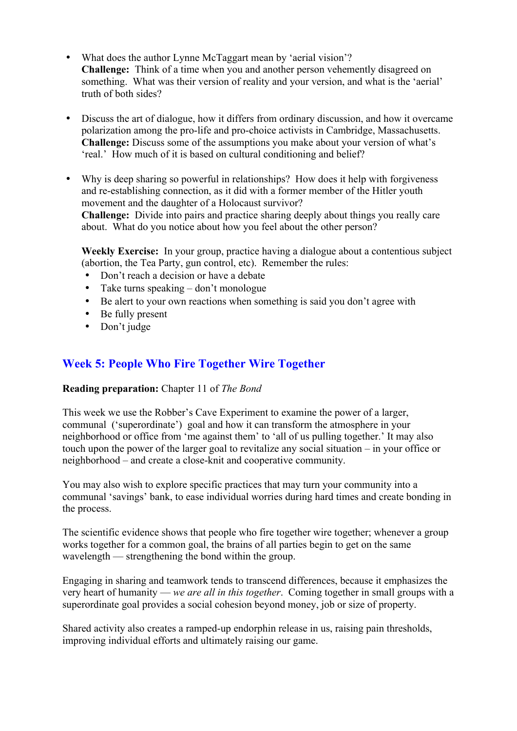- What does the author Lynne McTaggart mean by 'aerial vision'? **Challenge:** Think of a time when you and another person vehemently disagreed on something. What was their version of reality and your version, and what is the 'aerial' truth of both sides?
- Discuss the art of dialogue, how it differs from ordinary discussion, and how it overcame polarization among the pro-life and pro-choice activists in Cambridge, Massachusetts. **Challenge:** Discuss some of the assumptions you make about your version of what's 'real.' How much of it is based on cultural conditioning and belief?
- Why is deep sharing so powerful in relationships? How does it help with forgiveness and re-establishing connection, as it did with a former member of the Hitler youth movement and the daughter of a Holocaust survivor?

**Challenge:** Divide into pairs and practice sharing deeply about things you really care about. What do you notice about how you feel about the other person?

**Weekly Exercise:** In your group, practice having a dialogue about a contentious subject (abortion, the Tea Party, gun control, etc). Remember the rules:

- Don't reach a decision or have a debate
- Take turns speaking don't monologue
- Be alert to your own reactions when something is said you don't agree with
- Be fully present
- Don't judge

## **Week 5: People Who Fire Together Wire Together**

#### **Reading preparation:** Chapter 11 of *The Bond*

This week we use the Robber's Cave Experiment to examine the power of a larger, communal ('superordinate') goal and how it can transform the atmosphere in your neighborhood or office from 'me against them' to 'all of us pulling together.' It may also touch upon the power of the larger goal to revitalize any social situation – in your office or neighborhood – and create a close-knit and cooperative community.

You may also wish to explore specific practices that may turn your community into a communal 'savings' bank, to ease individual worries during hard times and create bonding in the process.

The scientific evidence shows that people who fire together wire together; whenever a group works together for a common goal, the brains of all parties begin to get on the same wavelength — strengthening the bond within the group.

Engaging in sharing and teamwork tends to transcend differences, because it emphasizes the very heart of humanity — *we are all in this together*. Coming together in small groups with a superordinate goal provides a social cohesion beyond money, job or size of property.

Shared activity also creates a ramped-up endorphin release in us, raising pain thresholds, improving individual efforts and ultimately raising our game.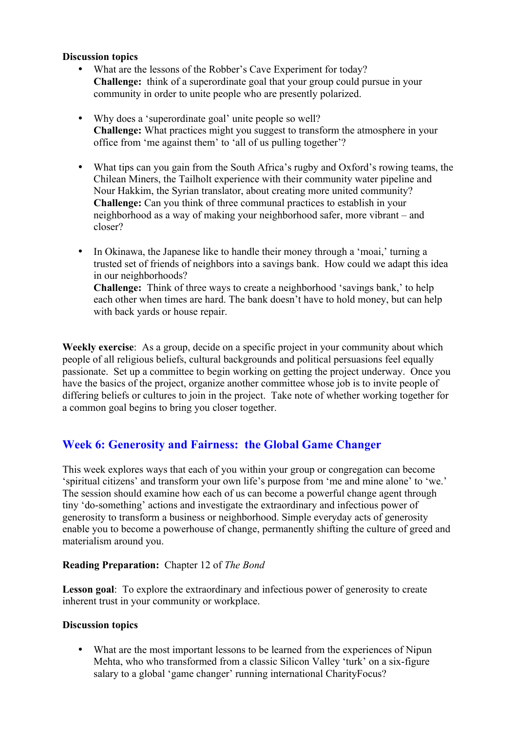### **Discussion topics**

- What are the lessons of the Robber's Cave Experiment for today? **Challenge:** think of a superordinate goal that your group could pursue in your community in order to unite people who are presently polarized.
- Why does a 'superordinate goal' unite people so well? **Challenge:** What practices might you suggest to transform the atmosphere in your office from 'me against them' to 'all of us pulling together'?
- What tips can you gain from the South Africa's rugby and Oxford's rowing teams, the Chilean Miners, the Tailholt experience with their community water pipeline and Nour Hakkim, the Syrian translator, about creating more united community? **Challenge:** Can you think of three communal practices to establish in your neighborhood as a way of making your neighborhood safer, more vibrant – and closer?
- In Okinawa, the Japanese like to handle their money through a 'moai,' turning a trusted set of friends of neighbors into a savings bank. How could we adapt this idea in our neighborhoods? **Challenge:** Think of three ways to create a neighborhood 'savings bank,' to help each other when times are hard. The bank doesn't have to hold money, but can help with back yards or house repair.

**Weekly exercise**: As a group, decide on a specific project in your community about which people of all religious beliefs, cultural backgrounds and political persuasions feel equally passionate. Set up a committee to begin working on getting the project underway. Once you have the basics of the project, organize another committee whose job is to invite people of differing beliefs or cultures to join in the project. Take note of whether working together for a common goal begins to bring you closer together.

## **Week 6: Generosity and Fairness: the Global Game Changer**

This week explores ways that each of you within your group or congregation can become 'spiritual citizens' and transform your own life's purpose from 'me and mine alone' to 'we.' The session should examine how each of us can become a powerful change agent through tiny 'do-something' actions and investigate the extraordinary and infectious power of generosity to transform a business or neighborhood. Simple everyday acts of generosity enable you to become a powerhouse of change, permanently shifting the culture of greed and materialism around you.

## **Reading Preparation:** Chapter 12 of *The Bond*

**Lesson goal**: To explore the extraordinary and infectious power of generosity to create inherent trust in your community or workplace.

## **Discussion topics**

• What are the most important lessons to be learned from the experiences of Nipun Mehta, who who transformed from a classic Silicon Valley 'turk' on a six-figure salary to a global 'game changer' running international CharityFocus?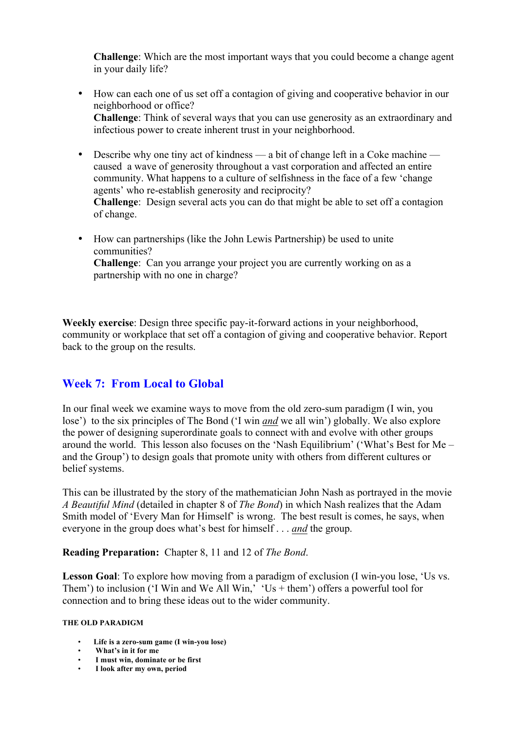**Challenge**: Which are the most important ways that you could become a change agent in your daily life?

- How can each one of us set off a contagion of giving and cooperative behavior in our neighborhood or office? **Challenge**: Think of several ways that you can use generosity as an extraordinary and infectious power to create inherent trust in your neighborhood.
- Describe why one tiny act of kindness a bit of change left in a Coke machine caused a wave of generosity throughout a vast corporation and affected an entire community. What happens to a culture of selfishness in the face of a few 'change agents' who re-establish generosity and reciprocity? **Challenge**: Design several acts you can do that might be able to set off a contagion
- How can partnerships (like the John Lewis Partnership) be used to unite communities? **Challenge**: Can you arrange your project you are currently working on as a partnership with no one in charge?

**Weekly exercise**: Design three specific pay-it-forward actions in your neighborhood, community or workplace that set off a contagion of giving and cooperative behavior. Report back to the group on the results.

## **Week 7: From Local to Global**

of change.

In our final week we examine ways to move from the old zero-sum paradigm (I win, you lose') to the six principles of The Bond ('I win *and* we all win') globally. We also explore the power of designing superordinate goals to connect with and evolve with other groups around the world. This lesson also focuses on the 'Nash Equilibrium' ('What's Best for Me – and the Group') to design goals that promote unity with others from different cultures or belief systems.

This can be illustrated by the story of the mathematician John Nash as portrayed in the movie *A Beautiful Mind* (detailed in chapter 8 of *The Bond*) in which Nash realizes that the Adam Smith model of 'Every Man for Himself' is wrong. The best result is comes, he says, when everyone in the group does what's best for himself . . . *and* the group.

#### **Reading Preparation:** Chapter 8, 11 and 12 of *The Bond*.

**Lesson Goal**: To explore how moving from a paradigm of exclusion (I win-you lose, 'Us vs. Them') to inclusion ('I Win and We All Win,' 'Us + them') offers a powerful tool for connection and to bring these ideas out to the wider community.

### **THE OLD PARADIGM**

- **Life is a zero-sum game (I win-you lose)**
- **What's in it for me**
- **I must win, dominate or be first**
- **I look after my own, period**